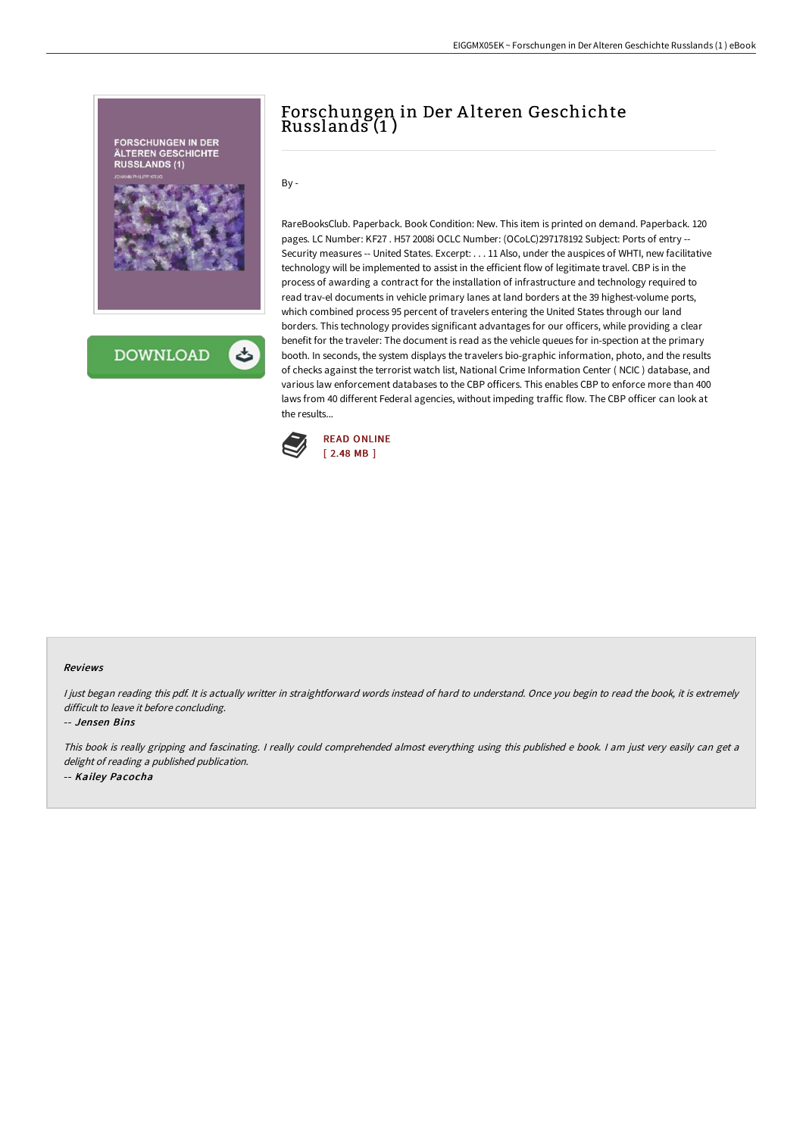

## Forschungen in Der A lteren Geschichte Russlands (1 )

 $By -$ 

RareBooksClub. Paperback. Book Condition: New. This item is printed on demand. Paperback. 120 pages. LC Number: KF27 . H57 2008i OCLC Number: (OCoLC)297178192 Subject: Ports of entry -- Security measures -- United States. Excerpt: . . . 11 Also, under the auspices of WHTI, new facilitative technology will be implemented to assist in the efficient flow of legitimate travel. CBP is in the process of awarding a contract for the installation of infrastructure and technology required to read trav-el documents in vehicle primary lanes at land borders at the 39 highest-volume ports, which combined process 95 percent of travelers entering the United States through our land borders. This technology provides significant advantages for our officers, while providing a clear benefit for the traveler: The document is read as the vehicle queues for in-spection at the primary booth. In seconds, the system displays the travelers bio-graphic information, photo, and the results of checks against the terrorist watch list, National Crime Information Center ( NCIC ) database, and various law enforcement databases to the CBP officers. This enables CBP to enforce more than 400 laws from 40 different Federal agencies, without impeding traffic flow. The CBP officer can look at the results...



## Reviews

I just began reading this pdf. It is actually writter in straightforward words instead of hard to understand. Once you begin to read the book, it is extremely difficult to leave it before concluding.

## -- Jensen Bins

This book is really gripping and fascinating. <sup>I</sup> really could comprehended almost everything using this published <sup>e</sup> book. <sup>I</sup> am just very easily can get <sup>a</sup> delight of reading <sup>a</sup> published publication. -- Kailey Pacocha